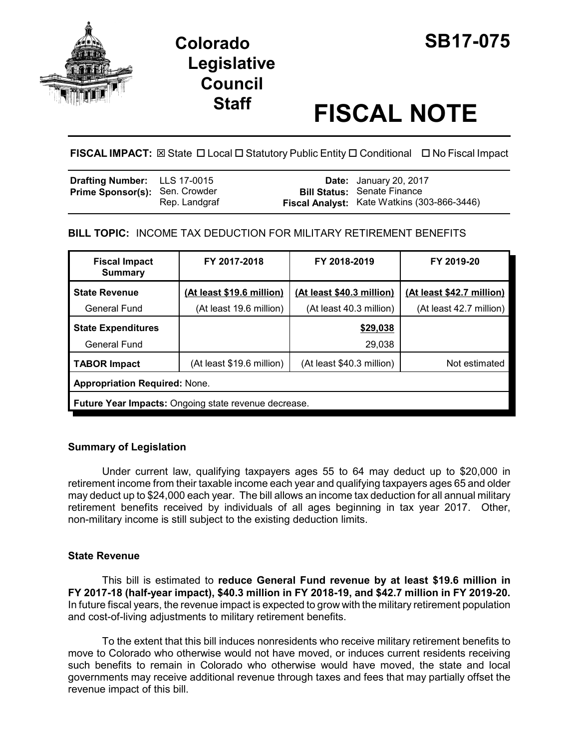

# **Colorado SB17-075 Legislative Council**

# **Staff FISCAL NOTE**

**FISCAL IMPACT:** ⊠ State **D** Local **D** Statutory Public Entity **D** Conditional **D** No Fiscal Impact

| <b>Drafting Number:</b> LLS 17-0015   |               | <b>Date:</b> January 20, 2017                                                     |
|---------------------------------------|---------------|-----------------------------------------------------------------------------------|
| <b>Prime Sponsor(s): Sen. Crowder</b> | Rep. Landgraf | <b>Bill Status: Senate Finance</b><br>Fiscal Analyst: Kate Watkins (303-866-3446) |

# **BILL TOPIC:** INCOME TAX DEDUCTION FOR MILITARY RETIREMENT BENEFITS

| <b>Fiscal Impact</b><br><b>Summary</b>                      | FY 2017-2018              | FY 2018-2019              | FY 2019-20                |  |
|-------------------------------------------------------------|---------------------------|---------------------------|---------------------------|--|
| <b>State Revenue</b>                                        | (At least \$19.6 million) | (At least \$40.3 million) | (At least \$42.7 million) |  |
| General Fund                                                | (At least 19.6 million)   | (At least 40.3 million)   | (At least 42.7 million)   |  |
| <b>State Expenditures</b>                                   |                           | \$29,038                  |                           |  |
| General Fund                                                |                           | 29,038                    |                           |  |
| TABOR Impact                                                | (At least \$19.6 million) | (At least \$40.3 million) | Not estimated             |  |
| <b>Appropriation Required: None.</b>                        |                           |                           |                           |  |
| <b>Future Year Impacts:</b> Ongoing state revenue decrease. |                           |                           |                           |  |

# **Summary of Legislation**

Under current law, qualifying taxpayers ages 55 to 64 may deduct up to \$20,000 in retirement income from their taxable income each year and qualifying taxpayers ages 65 and older may deduct up to \$24,000 each year. The bill allows an income tax deduction for all annual military retirement benefits received by individuals of all ages beginning in tax year 2017. Other, non-military income is still subject to the existing deduction limits.

# **State Revenue**

This bill is estimated to **reduce General Fund revenue by at least \$19.6 million in FY 2017-18 (half-year impact), \$40.3 million in FY 2018-19, and \$42.7 million in FY 2019-20.** In future fiscal years, the revenue impact is expected to grow with the military retirement population and cost-of-living adjustments to military retirement benefits.

To the extent that this bill induces nonresidents who receive military retirement benefits to move to Colorado who otherwise would not have moved, or induces current residents receiving such benefits to remain in Colorado who otherwise would have moved, the state and local governments may receive additional revenue through taxes and fees that may partially offset the revenue impact of this bill.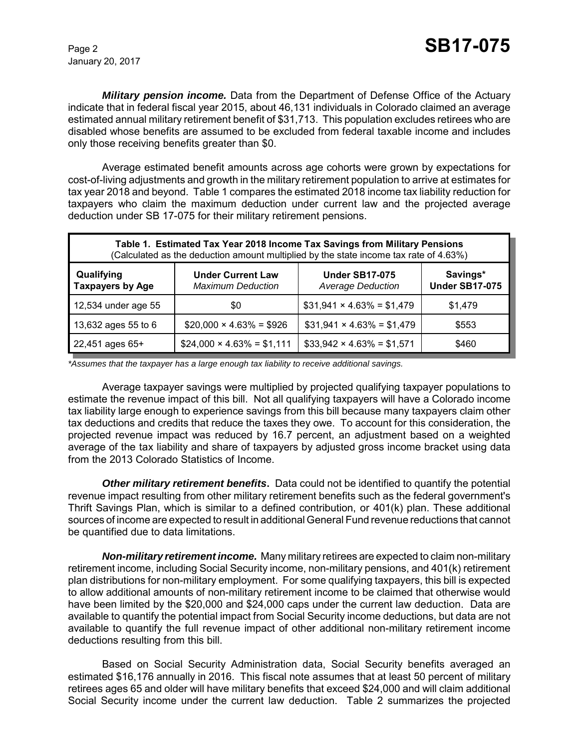January 20, 2017

*Military pension income.* Data from the Department of Defense Office of the Actuary indicate that in federal fiscal year 2015, about 46,131 individuals in Colorado claimed an average estimated annual military retirement benefit of \$31,713. This population excludes retirees who are disabled whose benefits are assumed to be excluded from federal taxable income and includes only those receiving benefits greater than \$0.

Average estimated benefit amounts across age cohorts were grown by expectations for cost-of-living adjustments and growth in the military retirement population to arrive at estimates for tax year 2018 and beyond. Table 1 compares the estimated 2018 income tax liability reduction for taxpayers who claim the maximum deduction under current law and the projected average deduction under SB 17-075 for their military retirement pensions.

| Table 1. Estimated Tax Year 2018 Income Tax Savings from Military Pensions<br>(Calculated as the deduction amount multiplied by the state income tax rate of 4.63%) |                                                      |                                                   |                                   |  |  |
|---------------------------------------------------------------------------------------------------------------------------------------------------------------------|------------------------------------------------------|---------------------------------------------------|-----------------------------------|--|--|
| Qualifying<br><b>Taxpayers by Age</b>                                                                                                                               | <b>Under Current Law</b><br><b>Maximum Deduction</b> | <b>Under SB17-075</b><br><b>Average Deduction</b> | Savings*<br><b>Under SB17-075</b> |  |  |
| 12,534 under age 55                                                                                                                                                 | \$0                                                  | $$31,941 \times 4.63\% = $1,479$                  | \$1,479                           |  |  |
| 13,632 ages 55 to 6                                                                                                                                                 | $$20,000 \times 4.63\% = $926$                       | $$31,941 \times 4.63\% = $1,479$                  | \$553                             |  |  |
| 22,451 ages 65+                                                                                                                                                     | $$24,000 \times 4.63\% = $1,111$                     | $$33,942 \times 4.63\% = $1,571$                  | \$460                             |  |  |

*\*Assumes that the taxpayer has a large enough tax liability to receive additional savings.*

Average taxpayer savings were multiplied by projected qualifying taxpayer populations to estimate the revenue impact of this bill. Not all qualifying taxpayers will have a Colorado income tax liability large enough to experience savings from this bill because many taxpayers claim other tax deductions and credits that reduce the taxes they owe. To account for this consideration, the projected revenue impact was reduced by 16.7 percent, an adjustment based on a weighted average of the tax liability and share of taxpayers by adjusted gross income bracket using data from the 2013 Colorado Statistics of Income.

*Other military retirement benefits***.** Data could not be identified to quantify the potential revenue impact resulting from other military retirement benefits such as the federal government's Thrift Savings Plan, which is similar to a defined contribution, or 401(k) plan. These additional sources of income are expected to result in additional General Fund revenue reductions that cannot be quantified due to data limitations.

*Non-military retirement income.* Many military retirees are expected to claim non-military retirement income, including Social Security income, non-military pensions, and 401(k) retirement plan distributions for non-military employment. For some qualifying taxpayers, this bill is expected to allow additional amounts of non-military retirement income to be claimed that otherwise would have been limited by the \$20,000 and \$24,000 caps under the current law deduction. Data are available to quantify the potential impact from Social Security income deductions, but data are not available to quantify the full revenue impact of other additional non-military retirement income deductions resulting from this bill.

Based on Social Security Administration data, Social Security benefits averaged an estimated \$16,176 annually in 2016. This fiscal note assumes that at least 50 percent of military retirees ages 65 and older will have military benefits that exceed \$24,000 and will claim additional Social Security income under the current law deduction. Table 2 summarizes the projected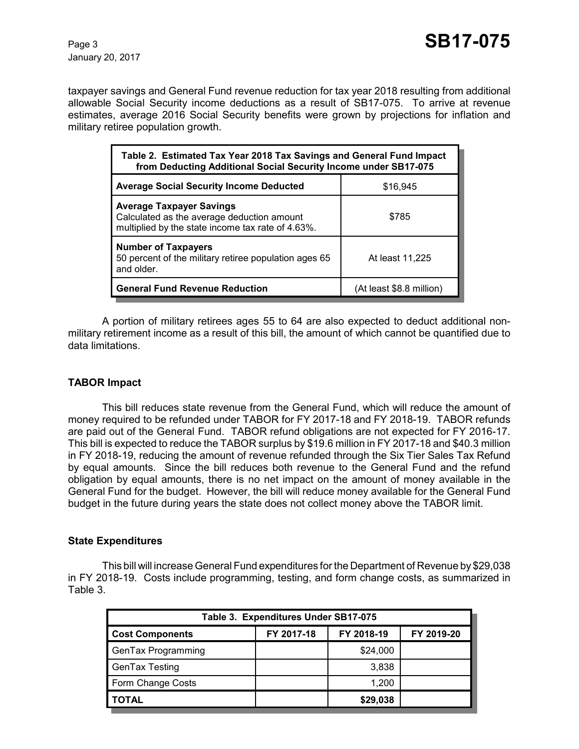January 20, 2017

taxpayer savings and General Fund revenue reduction for tax year 2018 resulting from additional allowable Social Security income deductions as a result of SB17-075. To arrive at revenue estimates, average 2016 Social Security benefits were grown by projections for inflation and military retiree population growth.

| Table 2. Estimated Tax Year 2018 Tax Savings and General Fund Impact<br>from Deducting Additional Social Security Income under SB17-075 |                          |  |  |
|-----------------------------------------------------------------------------------------------------------------------------------------|--------------------------|--|--|
| <b>Average Social Security Income Deducted</b>                                                                                          | \$16,945                 |  |  |
| <b>Average Taxpayer Savings</b><br>Calculated as the average deduction amount<br>multiplied by the state income tax rate of 4.63%.      | \$785                    |  |  |
| <b>Number of Taxpayers</b><br>50 percent of the military retiree population ages 65<br>and older.                                       | At least 11,225          |  |  |
| <b>General Fund Revenue Reduction</b>                                                                                                   | (At least \$8.8 million) |  |  |

A portion of military retirees ages 55 to 64 are also expected to deduct additional nonmilitary retirement income as a result of this bill, the amount of which cannot be quantified due to data limitations.

### **TABOR Impact**

This bill reduces state revenue from the General Fund, which will reduce the amount of money required to be refunded under TABOR for FY 2017-18 and FY 2018-19. TABOR refunds are paid out of the General Fund. TABOR refund obligations are not expected for FY 2016-17. This bill is expected to reduce the TABOR surplus by \$19.6 million in FY 2017-18 and \$40.3 million in FY 2018-19, reducing the amount of revenue refunded through the Six Tier Sales Tax Refund by equal amounts. Since the bill reduces both revenue to the General Fund and the refund obligation by equal amounts, there is no net impact on the amount of money available in the General Fund for the budget. However, the bill will reduce money available for the General Fund budget in the future during years the state does not collect money above the TABOR limit.

#### **State Expenditures**

This bill will increase General Fund expenditures for the Department of Revenue by \$29,038 in FY 2018-19. Costs include programming, testing, and form change costs, as summarized in Table 3.

| Table 3. Expenditures Under SB17-075 |            |            |            |  |  |  |
|--------------------------------------|------------|------------|------------|--|--|--|
| <b>Cost Components</b>               | FY 2017-18 | FY 2018-19 | FY 2019-20 |  |  |  |
| GenTax Programming                   |            | \$24,000   |            |  |  |  |
| GenTax Testing                       |            | 3,838      |            |  |  |  |
| Form Change Costs                    |            | 1,200      |            |  |  |  |
| <b>TOTAL</b>                         |            | \$29,038   |            |  |  |  |